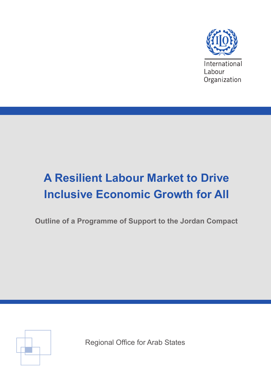

# **A Resilient Labour Market to Drive Inclusive Economic Growth for All**

**Outline of a Programme of Support to the Jordan Compact**



Regional Office for Arab States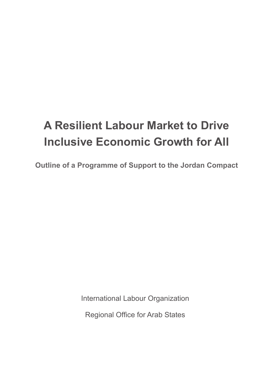# **A Resilient Labour Market to Drive Inclusive Economic Growth for All**

**Outline of a Programme of Support to the Jordan Compact**

International Labour Organization

Regional Office for Arab States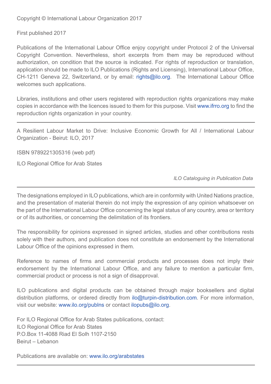Copyright © International Labour Organization 2017

First published 2017

Publications of the International Labour Office enjoy copyright under Protocol 2 of the Universal Copyright Convention. Nevertheless, short excerpts from them may be reproduced without authorization, on condition that the source is indicated. For rights of reproduction or translation, application should be made to ILO Publications (Rights and Licensing), International Labour Office, CH-1211 Geneva 22, Switzerland, or by email: rights@ilo.org. The International Labour Office welcomes such applications.

Libraries, institutions and other users registered with reproduction rights organizations may make copies in accordance with the licences issued to them for this purpose. Visit www.ifrro.org to find the reproduction rights organization in your country.

A Resilient Labour Market to Drive: Inclusive Economic Growth for All / International Labour Organization - Beirut: ILO, 2017

ISBN 9789221305316 (web pdf)

ILO Regional Office for Arab States

 *ILO Cataloguing in Publication Data*

The designations employed in ILO publications, which are in conformity with United Nations practice, and the presentation of material therein do not imply the expression of any opinion whatsoever on the part of the International Labour Office concerning the legal status of any country, area or territory or of its authorities, or concerning the delimitation of its frontiers.

The responsibility for opinions expressed in signed articles, studies and other contributions rests solely with their authors, and publication does not constitute an endorsement by the International Labour Office of the opinions expressed in them.

Reference to names of firms and commercial products and processes does not imply their endorsement by the International Labour Office, and any failure to mention a particular firm, commercial product or process is not a sign of disapproval.

ILO publications and digital products can be obtained through major booksellers and digital distribution platforms, or ordered directly from ilo@turpin-distribution.com. For more information, visit our website: www.ilo.org/publns or contact ilopubs@ilo.org.

For ILO Regional Office for Arab States publications, contact: ILO Regional Office for Arab States P.O.Box 11-4088 Riad El Solh 1107-2150 Beirut – Lebanon

Publications are available on: www.ilo.org/arabstates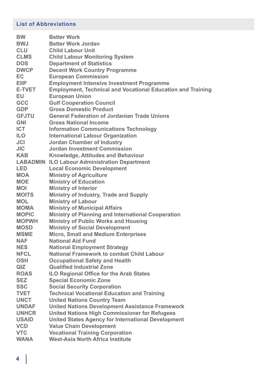# **List of Abbreviations**

| <b>BW</b>     | <b>Better Work</b>                                                 |
|---------------|--------------------------------------------------------------------|
| <b>BWJ</b>    | <b>Better Work Jordan</b>                                          |
| <b>CLU</b>    | <b>Child Labour Unit</b>                                           |
| <b>CLMS</b>   | <b>Child Labour Monitoring System</b>                              |
| <b>DOS</b>    | <b>Department of Statistics</b>                                    |
| <b>DWCP</b>   | <b>Decent Work Country Programme</b>                               |
| EC            | <b>European Commission</b>                                         |
| <b>EIIP</b>   | <b>Employment Intensive Investment Programme</b>                   |
| <b>E-TVET</b> | <b>Employment, Technical and Vocational Education and Training</b> |
| <b>EU</b>     | <b>European Union</b>                                              |
| <b>GCC</b>    | <b>Gulf Cooperation Council</b>                                    |
| <b>GDP</b>    | <b>Gross Domestic Product</b>                                      |
| <b>GFJTU</b>  | <b>General Federation of Jordanian Trade Unions</b>                |
| <b>GNI</b>    | <b>Gross National Income</b>                                       |
| <b>ICT</b>    | <b>Information Communications Technology</b>                       |
| <b>ILO</b>    | <b>International Labour Organization</b>                           |
| <b>JCI</b>    | <b>Jordan Chamber of Industry</b>                                  |
| <b>JIC</b>    | <b>Jordan Investment Commission</b>                                |
| <b>KAB</b>    | <b>Knowledge, Attitudes and Behaviour</b>                          |
|               | <b>LABADMIN ILO Labour Administration Department</b>               |
| <b>LED</b>    | <b>Local Economic Development</b>                                  |
| <b>MOA</b>    | <b>Ministry of Agriculture</b>                                     |
| <b>MOE</b>    | <b>Ministry of Education</b>                                       |
| <b>MOI</b>    | <b>Ministry of Interior</b>                                        |
| <b>MOITS</b>  | Ministry of Industry, Trade and Supply                             |
| <b>MOL</b>    | <b>Ministry of Labour</b>                                          |
| <b>MOMA</b>   | <b>Ministry of Municipal Affairs</b>                               |
| <b>MOPIC</b>  | <b>Ministry of Planning and International Cooperation</b>          |
| <b>MOPWH</b>  | <b>Ministry of Public Works and Housing</b>                        |
| <b>MOSD</b>   | <b>Ministry of Social Development</b>                              |
| <b>MSME</b>   | <b>Micro, Small and Medium Enterprises</b>                         |
| <b>NAF</b>    | <b>National Aid Fund</b>                                           |
| <b>NES</b>    | <b>National Employment Strategy</b>                                |
| <b>NFCL</b>   | <b>National Framework to combat Child Labour</b>                   |
| <b>OSH</b>    | <b>Occupational Safety and Health</b>                              |
| QIZ           | <b>Qualified Industrial Zone</b>                                   |
| <b>ROAS</b>   | <b>ILO Regional Office for the Arab States</b>                     |
| <b>SEZ</b>    | <b>Special Economic Zone</b>                                       |
| <b>SSC</b>    | <b>Social Security Corporation</b>                                 |
| <b>TVET</b>   | <b>Technical Vocational Education and Training</b>                 |
| <b>UNCT</b>   | <b>United Nations Country Team</b>                                 |
| <b>UNDAF</b>  | <b>United Nations Development Assistance Framework</b>             |
| <b>UNHCR</b>  | <b>United Nations High Commissioner for Refugees</b>               |
| <b>USAID</b>  | <b>United States Agency for International Development</b>          |
| <b>VCD</b>    | <b>Value Chain Development</b>                                     |
| <b>VTC</b>    | <b>Vocational Training Corporation</b>                             |
| <b>WANA</b>   | <b>West-Asia North Africa Institute</b>                            |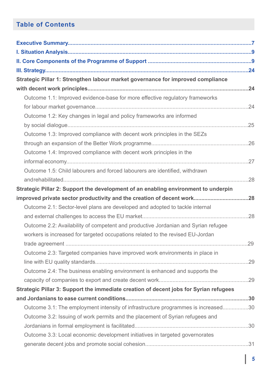# **Table of Contents**

| Strategic Pillar 1: Strengthen labour market governance for improved compliance       |  |
|---------------------------------------------------------------------------------------|--|
|                                                                                       |  |
| Outcome 1.1: Improved evidence-base for more effective regulatory frameworks          |  |
|                                                                                       |  |
| Outcome 1.2: Key changes in legal and policy frameworks are informed                  |  |
|                                                                                       |  |
| Outcome 1.3: Improved compliance with decent work principles in the SEZs              |  |
|                                                                                       |  |
| Outcome 1.4: Improved compliance with decent work principles in the                   |  |
|                                                                                       |  |
| Outcome 1.5: Child labourers and forced labourers are identified, withdrawn           |  |
|                                                                                       |  |
| Strategic Pillar 2: Support the development of an enabling environment to underpin    |  |
|                                                                                       |  |
| Outcome 2.1: Sector-level plans are developed and adopted to tackle internal          |  |
|                                                                                       |  |
| Outcome 2.2: Availability of competent and productive Jordanian and Syrian refugee    |  |
| workers is increased for targeted occupations related to the revised EU-Jordan        |  |
|                                                                                       |  |
| Outcome 2.3: Targeted companies have improved work environments in place in           |  |
|                                                                                       |  |
| Outcome 2.4: The business enabling environment is enhanced and supports the           |  |
|                                                                                       |  |
| Strategic Pillar 3: Support the immediate creation of decent jobs for Syrian refugees |  |
|                                                                                       |  |
| Outcome 3.1: The employment intensity of infrastructure programmes is increased30     |  |
| Outcome 3.2: Issuing of work permits and the placement of Syrian refugees and         |  |
|                                                                                       |  |
| Outcome 3.3: Local economic development initiatives in targeted governorates          |  |
|                                                                                       |  |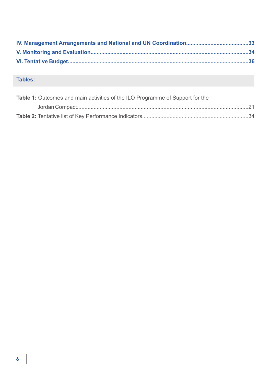# **Tables:**

| <b>Table 1:</b> Outcomes and main activities of the ILO Programme of Support for the |  |
|--------------------------------------------------------------------------------------|--|
|                                                                                      |  |
|                                                                                      |  |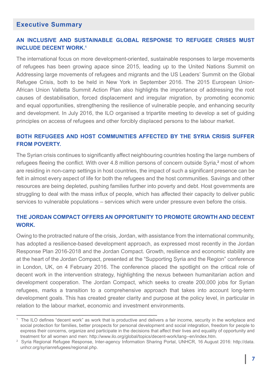#### **Executive Summary**

#### **AN INCLUSIVE AND SUSTAINABLE GLOBAL RESPONSE TO REFUGEE CRISES MUST INCLUDE DECENT WORK.1**

The international focus on more development-oriented, sustainable responses to large movements of refugees has been growing apace since 2015, leading up to the United Nations Summit on Addressing large movements of refugees and migrants and the US Leaders' Summit on the Global Refugee Crisis, both to be held in New York in September 2016. The 2015 European Union-African Union Valletta Summit Action Plan also highlights the importance of addressing the root causes of destabilisation, forced displacement and irregular migration, by promoting economic and equal opportunities, strengthening the resilience of vulnerable people, and enhancing security and development. In July 2016, the ILO organised a tripartite meeting to develop a set of guiding principles on access of refugees and other forcibly displaced persons to the labour market.

#### **BOTH REFUGEES AND HOST COMMUNITIES AFFECTED BY THE SYRIA CRISIS SUFFER FROM POVERTY.**

The Syrian crisis continues to significantly affect neighbouring countries hosting the large numbers of refugees fleeing the conflict. With over 4.8 million persons of concern outside Syria,**<sup>2</sup>** most of whom are residing in non-camp settings in host countries, the impact of such a significant presence can be felt in almost every aspect of life for both the refugees and the host communities. Savings and other resources are being depleted, pushing families further into poverty and debt. Host governments are struggling to deal with the mass influx of people, which has affected their capacity to deliver public services to vulnerable populations – services which were under pressure even before the crisis.

#### **THE JORDAN COMPACT OFFERS AN OPPORTUNITY TO PROMOTE GROWTH AND DECENT WORK.**

Owing to the protracted nature of the crisis, Jordan, with assistance from the international community, has adopted a resilience-based development approach, as expressed most recently in the Jordan Response Plan 2016-2018 and the Jordan Compact. Growth, resilience and economic stability are at the heart of the Jordan Compact, presented at the "Supporting Syria and the Region" conference in London, UK, on 4 February 2016. The conference placed the spotlight on the critical role of decent work in the intervention strategy, highlighting the nexus between humanitarian action and development cooperation. The Jordan Compact, which seeks to create 200,000 jobs for Syrian refugees, marks a transition to a comprehensive approach that takes into account long-term development goals. This has created greater clarity and purpose at the policy level, in particular in relation to the labour market, economic and investment environments.

<sup>1</sup> The ILO defines "decent work" as work that is productive and delivers a fair income, security in the workplace and social protection for families, better prospects for personal development and social integration, freedom for people to express their concerns, organize and participate in the decisions that affect their lives and equality of opportunity and treatment for all women and men: http://www.ilo.org/global/topics/decent-work/lang--en/index.htm.

<sup>2</sup> Syria Regional Refugee Response, Inter-agency Information Sharing Portal, UNHCR, 16 August 2016: http://data. unhcr.org/syrianrefugees/regional.php.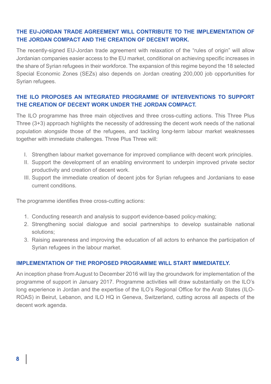#### **THE EU-JORDAN TRADE AGREEMENT WILL CONTRIBUTE TO THE IMPLEMENTATION OF THE JORDAN COMPACT AND THE CREATION OF DECENT WORK.**

The recently-signed EU-Jordan trade agreement with relaxation of the "rules of origin" will allow Jordanian companies easier access to the EU market, conditional on achieving specific increases in the share of Syrian refugees in their workforce. The expansion of this regime beyond the 18 selected Special Economic Zones (SEZs) also depends on Jordan creating 200,000 job opportunities for Syrian refugees.

#### **THE ILO PROPOSES AN INTEGRATED PROGRAMME OF INTERVENTIONS TO SUPPORT THE CREATION OF DECENT WORK UNDER THE JORDAN COMPACT.**

The ILO programme has three main objectives and three cross-cutting actions. This Three Plus Three (3+3) approach highlights the necessity of addressing the decent work needs of the national population alongside those of the refugees, and tackling long-term labour market weaknesses together with immediate challenges. Three Plus Three will:

- I. Strengthen labour market governance for improved compliance with decent work principles.
- II. Support the development of an enabling environment to underpin improved private sector productivity and creation of decent work.
- III. Support the immediate creation of decent jobs for Syrian refugees and Jordanians to ease current conditions.

The programme identifies three cross-cutting actions:

- 1. Conducting research and analysis to support evidence-based policy-making;
- 2. Strengthening social dialogue and social partnerships to develop sustainable national solutions;
- 3. Raising awareness and improving the education of all actors to enhance the participation of Syrian refugees in the labour market.

#### **IMPLEMENTATION OF THE PROPOSED PROGRAMME WILL START IMMEDIATELY.**

An inception phase from August to December 2016 will lay the groundwork for implementation of the programme of support in January 2017. Programme activities will draw substantially on the ILO's long experience in Jordan and the expertise of the ILO's Regional Office for the Arab States (ILO-ROAS) in Beirut, Lebanon, and ILO HQ in Geneva, Switzerland, cutting across all aspects of the decent work agenda.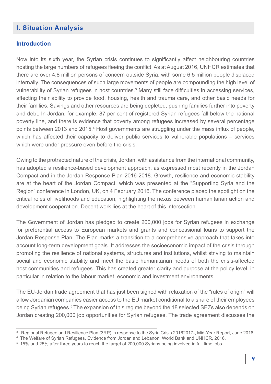# **I. Situation Analysis**

#### **Introduction**

Now into its sixth year, the Syrian crisis continues to significantly affect neighbouring countries hosting the large numbers of refugees fleeing the conflict. As at August 2016, UNHCR estimates that there are over 4.8 million persons of concern outside Syria, with some 6.5 million people displaced internally. The consequences of such large movements of people are compounding the high level of vulnerability of Syrian refugees in host countries.<sup>3</sup> Many still face difficulties in accessing services, affecting their ability to provide food, housing, health and trauma care, and other basic needs for their families. Savings and other resources are being depleted, pushing families further into poverty and debt. In Jordan, for example, 87 per cent of registered Syrian refugees fall below the national poverty line, and there is evidence that poverty among refugees increased by several percentage points between 2013 and 2015.<sup>4</sup> Host governments are struggling under the mass influx of people, which has affected their capacity to deliver public services to vulnerable populations – services which were under pressure even before the crisis.

Owing to the protracted nature of the crisis, Jordan, with assistance from the international community, has adopted a resilience-based development approach, as expressed most recently in the Jordan Compact and in the Jordan Response Plan 2016-2018. Growth, resilience and economic stability are at the heart of the Jordan Compact, which was presented at the "Supporting Syria and the Region" conference in London, UK, on 4 February 2016. The conference placed the spotlight on the critical roles of livelihoods and education, highlighting the nexus between humanitarian action and development cooperation. Decent work lies at the heart of this intersection.

The Government of Jordan has pledged to create 200,000 jobs for Syrian refugees in exchange for preferential access to European markets and grants and concessional loans to support the Jordan Response Plan. The Plan marks a transition to a comprehensive approach that takes into account long-term development goals. It addresses the socioeconomic impact of the crisis through promoting the resilience of national systems, structures and institutions, whilst striving to maintain social and economic stability and meet the basic humanitarian needs of both the crisis-affected host communities and refugees. This has created greater clarity and purpose at the policy level, in particular in relation to the labour market, economic and investment environments.

The EU-Jordan trade agreement that has just been signed with relaxation of the "rules of origin" will allow Jordanian companies easier access to the EU market conditional to a share of their employees being Syrian refugees.<sup>5</sup> The expansion of this regime beyond the 18 selected SEZs also depends on Jordan creating 200,000 job opportunities for Syrian refugees. The trade agreement discusses the

 $^{\rm 3}~$  Regional Refugee and Resilience Plan (3RP) in response to the Syria Crisis 20162017-, Mid-Year Report, June 2016.

<sup>4</sup> The Welfare of Syrian Refugees, Evidence from Jordan and Lebanon, World Bank and UNHCR, 2016.

<sup>5 15%</sup> and 25% after three years to reach the target of 200,000 Syrians being involved in full time jobs.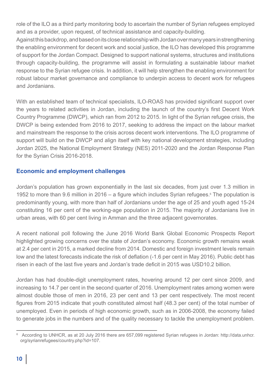role of the ILO as a third party monitoring body to ascertain the number of Syrian refugees employed and as a provider, upon request, of technical assistance and capacity-building.

Against this backdrop, and based on its close relationship with Jordan over many years in strengthening the enabling environment for decent work and social justice, the ILO has developed this programme of support for the Jordan Compact. Designed to support national systems, structures and institutions through capacity-building, the programme will assist in formulating a sustainable labour market response to the Syrian refugee crisis. In addition, it will help strengthen the enabling environment for robust labour market governance and compliance to underpin access to decent work for refugees and Jordanians.

With an established team of technical specialists, ILO-ROAS has provided significant support over the years to related activities in Jordan, including the launch of the country's first Decent Work Country Programme (DWCP), which ran from 2012 to 2015. In light of the Syrian refugee crisis, the DWCP is being extended from 2016 to 2017, seeking to address the impact on the labour market and mainstream the response to the crisis across decent work interventions. The ILO programme of support will build on the DWCP and align itself with key national development strategies, including Jordan 2025, the National Employment Strategy (NES) 2011-2020 and the Jordan Response Plan for the Syrian Crisis 2016-2018.

#### **Economic and employment challenges**

Jordan's population has grown exponentially in the last six decades, from just over 1.3 million in 1952 to more than 9.6 million in 2016 – a figure which includes Syrian refugees.<sup>6</sup> The population is predominantly young, with more than half of Jordanians under the age of 25 and youth aged 15-24 constituting 16 per cent of the working-age population in 2015. The majority of Jordanians live in urban areas, with 60 per cent living in Amman and the three adjacent governorates.

A recent national poll following the June 2016 World Bank Global Economic Prospects Report highlighted growing concerns over the state of Jordan's economy. Economic growth remains weak at 2.4 per cent in 2015, a marked decline from 2014. Domestic and foreign investment levels remain low and the latest forecasts indicate the risk of deflation (-1.6 per cent in May 2016). Public debt has risen in each of the last five years and Jordan's trade deficit in 2015 was USD10.2 billion.

Jordan has had double-digit unemployment rates, hovering around 12 per cent since 2009, and increasing to 14.7 per cent in the second quarter of 2016. Unemployment rates among women were almost double those of men in 2016, 23 per cent and 13 per cent respectively. The most recent figures from 2015 indicate that youth constituted almost half (48.3 per cent) of the total number of unemployed. Even in periods of high economic growth, such as in 2006-2008, the economy failed to generate jobs in the numbers and of the quality necessary to tackle the unemployment problem.

<sup>6</sup> According to UNHCR, as at 20 July 2016 there are 657,099 registered Syrian refugees in Jordan: http://data.unhcr. org/syrianrefugees/country.php?id=107.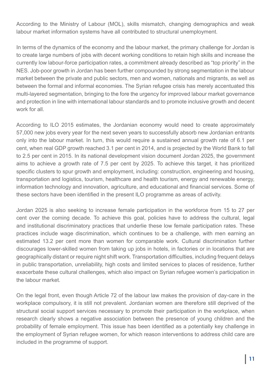According to the Ministry of Labour (MOL), skills mismatch, changing demographics and weak labour market information systems have all contributed to structural unemployment.

In terms of the dynamics of the economy and the labour market, the primary challenge for Jordan is to create large numbers of jobs with decent working conditions to retain high skills and increase the currently low labour-force participation rates, a commitment already described as "top priority" in the NES. Job-poor growth in Jordan has been further compounded by strong segmentation in the labour market between the private and public sectors, men and women, nationals and migrants, as well as between the formal and informal economies. The Syrian refugee crisis has merely accentuated this multi-layered segmentation, bringing to the fore the urgency for improved labour market governance and protection in line with international labour standards and to promote inclusive growth and decent work for all

According to ILO 2015 estimates, the Jordanian economy would need to create approximately 57,000 new jobs every year for the next seven years to successfully absorb new Jordanian entrants only into the labour market. In turn, this would require a sustained annual growth rate of 6.1 per cent, when real GDP growth reached 3.1 per cent in 2014, and is projected by the World Bank to fall to 2.5 per cent in 2015. In its national development vision document Jordan 2025, the government aims to achieve a growth rate of 7.5 per cent by 2025. To achieve this target, it has prioritized specific clusters to spur growth and employment, including: construction, engineering and housing, transportation and logistics, tourism, healthcare and health tourism, energy and renewable energy, information technology and innovation, agriculture, and educational and financial services. Some of these sectors have been identified in the present ILO programme as areas of activity.

Jordan 2025 is also seeking to increase female participation in the workforce from 15 to 27 per cent over the coming decade. To achieve this goal, policies have to address the cultural, legal and institutional discriminatory practices that underlie these low female participation rates. These practices include wage discrimination, which continues to be a challenge, with men earning an estimated 13.2 per cent more than women for comparable work. Cultural discrimination further discourages lower-skilled women from taking up jobs in hotels, in factories or in locations that are geographically distant or require night shift work. Transportation difficulties, including frequent delays in public transportation, unreliability, high costs and limited services to places of residence, further exacerbate these cultural challenges, which also impact on Syrian refugee women's participation in the labour market.

On the legal front, even though Article 72 of the labour law makes the provision of day-care in the workplace compulsory, it is still not prevalent. Jordanian women are therefore still deprived of the structural social support services necessary to promote their participation in the workplace, when research clearly shows a negative association between the presence of young children and the probability of female employment. This issue has been identified as a potentially key challenge in the employment of Syrian refugee women, for which reason interventions to address child care are included in the programme of support.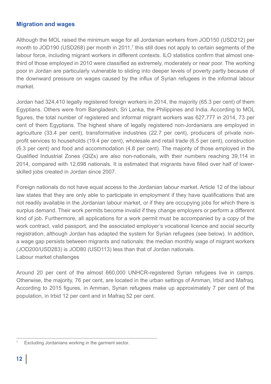#### **Migration and wages**

Although the MOL raised the minimum wage for all Jordanian workers from JOD150 (USD212) per month to JOD190 (USD268) per month in 2011,<sup>7</sup> this still does not apply to certain segments of the labour force, including migrant workers in different contexts. ILO statistics confirm that almost onethird of those employed in 2010 were classified as extremely, moderately or near poor. The working poor in Jordan are particularly vulnerable to sliding into deeper levels of poverty partly because of the downward pressure on wages caused by the influx of Syrian refugees in the informal labour market.

Jordan had 324,410 legally registered foreign workers in 2014, the majority (65.3 per cent) of them Egyptians. Others were from Bangladesh, Sri Lanka, the Philippines and India. According to MOL figures, the total number of registered and informal migrant workers was 627,777 in 2014, 73 per cent of them Egyptians. The highest share of legally registered non-Jordanians are employed in agriculture (33.4 per cent), transformative industries (22.7 per cent), producers of private nonprofit services to households (19.4 per cent), wholesale and retail trade (6.5 per cent), construction (6.3 per cent) and food and accommodation (4.8 per cent). The majority of those employed in the Qualified Industrial Zones (QIZs) are also non-nationals, with their numbers reaching 39,114 in 2014, compared with 12,698 nationals. It is estimated that migrants have filled over half of lowerskilled jobs created in Jordan since 2007.

Foreign nationals do not have equal access to the Jordanian labour market. Article 12 of the labour law states that they are only able to participate in employment if they have qualifications that are not readily available in the Jordanian labour market, or if they are occupying jobs for which there is surplus demand. Their work permits become invalid if they change employers or perform a different kind of job. Furthermore, all applications for a work permit must be accompanied by a copy of the work contract, valid passport, and the associated employer's vocational licence and social security registration, although Jordan has adapted the system for Syrian refugees (see below). In addition, a wage gap persists between migrants and nationals: the median monthly wage of migrant workers (JOD200/USD283) is JOD80 (USD113) less than that of Jordan nationals. Labour market challenges

Around 20 per cent of the almost 660,000 UNHCR-registered Syrian refugees live in camps. Otherwise, the majority, 76 per cent, are located in the urban settings of Amman, Irbid and Mafraq. According to 2015 figures, in Amman, Syrian refugees make up approximately 7 per cent of the population, in Irbid 12 per cent and in Mafraq 52 per cent.

<sup>7</sup> Excluding Jordanians working in the garment sector.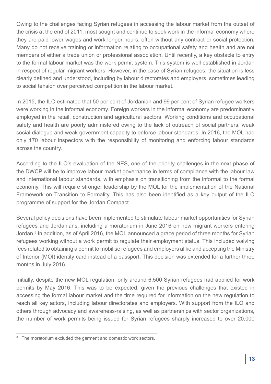Owing to the challenges facing Syrian refugees in accessing the labour market from the outset of the crisis at the end of 2011, most sought and continue to seek work in the informal economy where they are paid lower wages and work longer hours, often without any contract or social protection. Many do not receive training or information relating to occupational safety and health and are not members of either a trade union or professional association. Until recently, a key obstacle to entry to the formal labour market was the work permit system. This system is well established in Jordan in respect of regular migrant workers. However, in the case of Syrian refugees, the situation is less clearly defined and understood, including by labour directorates and employers, sometimes leading to social tension over perceived competition in the labour market.

In 2015, the ILO estimated that 50 per cent of Jordanian and 99 per cent of Syrian refugee workers were working in the informal economy. Foreign workers in the informal economy are predominantly employed in the retail, construction and agricultural sectors. Working conditions and occupational safety and health are poorly administered owing to the lack of outreach of social partners, weak social dialogue and weak government capacity to enforce labour standards. In 2016, the MOL had only 170 labour inspectors with the responsibility of monitoring and enforcing labour standards across the country.

According to the ILO's evaluation of the NES, one of the priority challenges in the next phase of the DWCP will be to improve labour market governance in terms of compliance with the labour law and international labour standards, with emphasis on transitioning from the informal to the formal economy. This will require stronger leadership by the MOL for the implementation of the National Framework on Transition to Formality. This has also been identified as a key output of the ILO programme of support for the Jordan Compact.

Several policy decisions have been implemented to stimulate labour market opportunities for Syrian refugees and Jordanians, including a moratorium in June 2016 on new migrant workers entering Jordan.<sup>8</sup> In addition, as of April 2016, the MOL announced a grace period of three months for Syrian refugees working without a work permit to regulate their employment status. This included waiving fees related to obtaining a permit to mobilise refugees and employers alike and accepting the Ministry of Interior (MOI) identity card instead of a passport. This decision was extended for a further three months in July 2016.

Initially, despite the new MOL regulation, only around 6,500 Syrian refugees had applied for work permits by May 2016. This was to be expected, given the previous challenges that existed in accessing the formal labour market and the time required for information on the new regulation to reach all key actors, including labour directorates and employers. With support from the ILO and others through advocacy and awareness-raising, as well as partnerships with sector organizations, the number of work permits being issued for Syrian refugees sharply increased to over 20,000

<sup>&</sup>lt;sup>8</sup> The moratorium excluded the garment and domestic work sectors.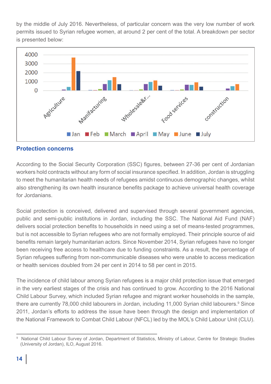by the middle of July 2016. Nevertheless, of particular concern was the very low number of work permits issued to Syrian refugee women, at around 2 per cent of the total. A breakdown per sector is presented below:



#### **Protection concerns**

According to the Social Security Corporation (SSC) figures, between 27-36 per cent of Jordanian workers hold contracts without any form of social insurance specified. In addition, Jordan is struggling to meet the humanitarian health needs of refugees amidst continuous demographic changes, whilst also strengthening its own health insurance benefits package to achieve universal health coverage for Jordanians.

Social protection is conceived, delivered and supervised through several government agencies, public and semi-public institutions in Jordan, including the SSC. The National Aid Fund (NAF) delivers social protection benefits to households in need using a set of means-tested programmes, but is not accessible to Syrian refugees who are not formally employed. Their principle source of aid benefits remain largely humanitarian actors. Since November 2014, Syrian refugees have no longer been receiving free access to healthcare due to funding constraints. As a result, the percentage of Syrian refugees suffering from non-communicable diseases who were unable to access medication or health services doubled from 24 per cent in 2014 to 58 per cent in 2015.

The incidence of child labour among Syrian refugees is a major child protection issue that emerged in the very earliest stages of the crisis and has continued to grow. According to the 2016 National Child Labour Survey, which included Syrian refugee and migrant worker households in the sample, there are currently 78,000 child labourers in Jordan, including 11,000 Syrian child labourers.<sup>9</sup> Since 2011, Jordan's efforts to address the issue have been through the design and implementation of the National Framework to Combat Child Labour (NFCL) led by the MOL's Child Labour Unit (CLU).

<sup>9</sup> National Child Labour Survey of Jordan, Department of Statistics, Ministry of Labour, Centre for Strategic Studies (University of Jordan), ILO, August 2016.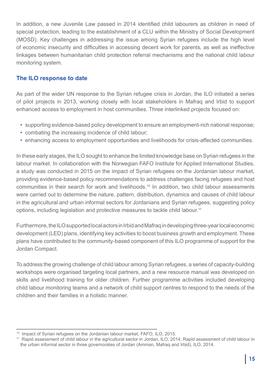In addition, a new Juvenile Law passed in 2014 identified child labourers as children in need of special protection, leading to the establishment of a CLU within the Ministry of Social Development (MOSD). Key challenges in addressing the issue among Syrian refugees include the high level of economic insecurity and difficulties in accessing decent work for parents, as well as ineffective linkages between humanitarian child protection referral mechanisms and the national child labour monitoring system.

### **The ILO response to date**

As part of the wider UN response to the Syrian refugee crisis in Jordan, the ILO initiated a series of pilot projects in 2013, working closely with local stakeholders in Mafraq and Irbid to support enhanced access to employment in host communities. Three interlinked projects focused on:

- supporting evidence-based policy development to ensure an employment-rich national response;
- combating the increasing incidence of child labour;
- enhancing access to employment opportunities and livelihoods for crisis-affected communities.

In these early stages, the ILO sought to enhance the limited knowledge base on Syrian refugees in the labour market. In collaboration with the Norwegian FAFO Institute for Applied International Studies, a study was conducted in 2015 on the impact of Syrian refugees on the Jordanian labour market, providing evidence-based policy recommendations to address challenges facing refugees and host communities in their search for work and livelihoods.10 In addition, two child labour assessments were carried out to determine the nature, pattern, distribution, dynamics and causes of child labour in the agricultural and urban informal sectors for Jordanians and Syrian refugees, suggesting policy options, including legislation and protective measures to tackle child labour. 11

Furthermore, the ILO supported local actors in Irbid and Mafraq in developing three-year local economic development (LED) plans, identifying key activities to boost business growth and employment. These plans have contributed to the community-based component of this ILO programme of support for the Jordan Compact.

To address the growing challenge of child labour among Syrian refugees, a series of capacity-building workshops were organised targeting local partners, and a new resource manual was developed on skills and livelihood training for older children. Further programme activities included developing child labour monitoring teams and a network of child support centres to respond to the needs of the children and their families in a holistic manner.

<sup>&</sup>lt;sup>10</sup> Impact of Syrian refugees on the Jordanian labour market, FAFO, ILO, 2015.

<sup>11</sup> Rapid assessment of child labour in the agricultural sector in Jordan, ILO, 2014; Rapid assessment of child labour in the urban informal sector in three governorates of Jordan (Amman, Mafraq and Irbid), ILO, 2014.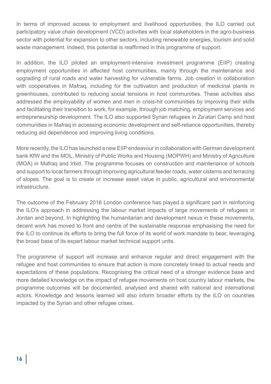In terms of improved access to employment and livelihood opportunities, the ILO carried out participatory value chain development (VCD) activities with local stakeholders in the agro-business sector with potential for expansion to other sectors, including renewable energies, tourism and solid waste management. Indeed, this potential is reaffirmed in this programme of support.

In addition, the ILO piloted an employment-intensive investment programme (EIIP) creating employment opportunities in affected host communities, mainly through the maintenance and upgrading of rural roads and water harvesting for vulnerable farms. Job creation in collaboration with cooperatives in Mafraq, including for the cultivation and production of medicinal plants in greenhouses, contributed to reducing social tensions in host communities. These activities also addressed the employability of women and men in crisis-hit communities by improving their skills and facilitating their transition to work, for example, through job matching, employment services and entrepreneurship development. The ILO also supported Syrian refugees in Za'atari Camp and host communities in Mafraq in accessing economic development and self-reliance opportunities, thereby reducing aid dependence and improving living conditions.

More recently, the ILO has launched a new EIIP endeavour in collaboration with German development bank KfW and the MOL, Ministry of Public Works and Housing (MOPWH) and Ministry of Agriculture (MOA) in Mafraq and Irbid. The programme focuses on construction and maintenance of schools and support to local farmers through improving agricultural feeder roads, water cisterns and terracing of slopes. The goal is to create or increase asset value in public, agricultural and environmental infrastructure.

The outcome of the February 2016 London conference has played a significant part in reinforcing the ILO's approach in addressing the labour market impacts of large movements of refugees in Jordan and beyond. In highlighting the humanitarian and development nexus in these movements, decent work has moved to front and centre of the sustainable response emphasising the need for the ILO to continue its efforts to bring the full force of its world of work mandate to bear, leveraging the broad base of its expert labour market technical support units.

The programme of support will increase and enhance regular and direct engagement with the refugee and host communities to ensure that action is more concretely linked to actual needs and expectations of these populations. Recognising the critical need of a stronger evidence base and more detailed knowledge on the impact of refugee movements on host country labour markets, the programme outcomes will be documented, analysed and shared with national and international actors. Knowledge and lessons learned will also inform broader efforts by the ILO on countries impacted by the Syrian and other refugee crises.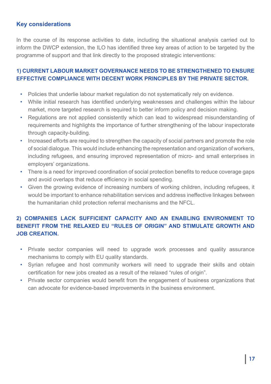#### **Key considerations**

In the course of its response activities to date, including the situational analysis carried out to inform the DWCP extension, the ILO has identified three key areas of action to be targeted by the programme of support and that link directly to the proposed strategic interventions:

#### **1) CURRENT LABOUR MARKET GOVERNANCE NEEDS TO BE STRENGTHENED TO ENSURE EFFECTIVE COMPLIANCE WITH DECENT WORK PRINCIPLES BY THE PRIVATE SECTOR.**

- Policies that underlie labour market regulation do not systematically rely on evidence.
- While initial research has identified underlying weaknesses and challenges within the labour market, more targeted research is required to better inform policy and decision making.
- Regulations are not applied consistently which can lead to widespread misunderstanding of requirements and highlights the importance of further strengthening of the labour inspectorate through capacity-building.
- Increased efforts are required to strengthen the capacity of social partners and promote the role of social dialogue. This would include enhancing the representation and organization of workers, including refugees, and ensuring improved representation of micro- and small enterprises in employers' organizations.
- There is a need for improved coordination of social protection benefits to reduce coverage gaps and avoid overlaps that reduce efficiency in social spending.
- Given the growing evidence of increasing numbers of working children, including refugees, it would be important to enhance rehabilitation services and address ineffective linkages between the humanitarian child protection referral mechanisms and the NFCL.

# **2) COMPANIES LACK SUFFICIENT CAPACITY AND AN ENABLING ENVIRONMENT TO BENEFIT FROM THE RELAXED EU "RULES OF ORIGIN" AND STIMULATE GROWTH AND JOB CREATION.**

- Private sector companies will need to upgrade work processes and quality assurance mechanisms to comply with EU quality standards.
- Syrian refugee and host community workers will need to upgrade their skills and obtain certification for new jobs created as a result of the relaxed "rules of origin".
- Private sector companies would benefit from the engagement of business organizations that can advocate for evidence-based improvements in the business environment.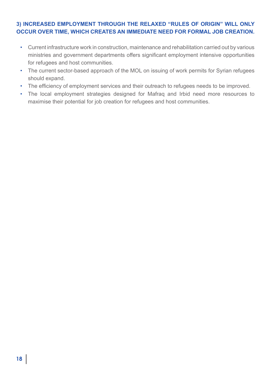#### **3) INCREASED EMPLOYMENT THROUGH THE RELAXED "RULES OF ORIGIN" WILL ONLY OCCUR OVER TIME, WHICH CREATES AN IMMEDIATE NEED FOR FORMAL JOB CREATION.**

- Current infrastructure work in construction, maintenance and rehabilitation carried out by various ministries and government departments offers significant employment intensive opportunities for refugees and host communities.
- The current sector-based approach of the MOL on issuing of work permits for Syrian refugees should expand.
- The efficiency of employment services and their outreach to refugees needs to be improved.
- The local employment strategies designed for Mafraq and Irbid need more resources to maximise their potential for job creation for refugees and host communities.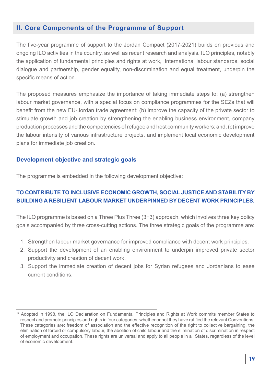#### **II. Core Components of the Programme of Support**

The five-year programme of support to the Jordan Compact (2017-2021) builds on previous and ongoing ILO activities in the country, as well as recent research and analysis. ILO principles, notably the application of fundamental principles and rights at work, international labour standards, social dialogue and partnership, gender equality, non-discrimination and equal treatment, underpin the specific means of action.

The proposed measures emphasize the importance of taking immediate steps to: (a) strengthen labour market governance, with a special focus on compliance programmes for the SEZs that will benefit from the new EU-Jordan trade agreement; (b) improve the capacity of the private sector to stimulate growth and job creation by strengthening the enabling business environment, company production processes and the competencies of refugee and host community workers; and, (c) improve the labour intensity of various infrastructure projects, and implement local economic development plans for immediate job creation.

#### **Development objective and strategic goals**

The programme is embedded in the following development objective:

### **TO CONTRIBUTE TO INCLUSIVE ECONOMIC GROWTH, SOCIAL JUSTICE AND STABILITY BY BUILDING A RESILIENT LABOUR MARKET UNDERPINNED BY DECENT WORK PRINCIPLES.**

The ILO programme is based on a Three Plus Three (3+3) approach, which involves three key policy goals accompanied by three cross-cutting actions. The three strategic goals of the programme are:

- 1. Strengthen labour market governance for improved compliance with decent work principles.
- 2. Support the development of an enabling environment to underpin improved private sector productivity and creation of decent work.
- 3. Support the immediate creation of decent jobs for Syrian refugees and Jordanians to ease current conditions.

<sup>&</sup>lt;sup>12</sup> Adopted in 1998, the ILO Declaration on Fundamental Principles and Rights at Work commits member States to respect and promote principles and rights in four categories, whether or not they have ratified the relevant Conventions. These categories are: freedom of association and the effective recognition of the right to collective bargaining, the elimination of forced or compulsory labour, the abolition of child labour and the elimination of discrimination in respect of employment and occupation. These rights are universal and apply to all people in all States, regardless of the level of economic development.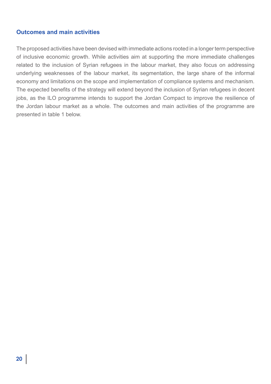#### **Outcomes and main activities**

The proposed activities have been devised with immediate actions rooted in a longer term perspective of inclusive economic growth. While activities aim at supporting the more immediate challenges related to the inclusion of Syrian refugees in the labour market, they also focus on addressing underlying weaknesses of the labour market, its segmentation, the large share of the informal economy and limitations on the scope and implementation of compliance systems and mechanism. The expected benefits of the strategy will extend beyond the inclusion of Syrian refugees in decent jobs, as the ILO programme intends to support the Jordan Compact to improve the resilience of the Jordan labour market as a whole. The outcomes and main activities of the programme are presented in table 1 below.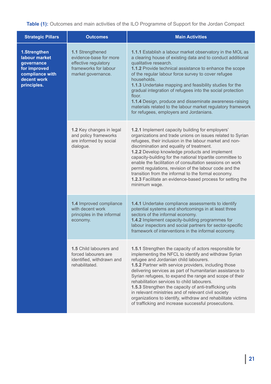**Table (1):** Outcomes and main activities of the ILO Programme of Support for the Jordan Compact

| <b>Strategic Pillars</b>                                                                                     | <b>Outcomes</b>                                                                                                   | <b>Main Activities</b>                                                                                                                                                                                                                                                                                                                                                                                                                                                                                                                                                                                                                |
|--------------------------------------------------------------------------------------------------------------|-------------------------------------------------------------------------------------------------------------------|---------------------------------------------------------------------------------------------------------------------------------------------------------------------------------------------------------------------------------------------------------------------------------------------------------------------------------------------------------------------------------------------------------------------------------------------------------------------------------------------------------------------------------------------------------------------------------------------------------------------------------------|
| 1.Strengthen<br>labour market<br>governance<br>for improved<br>compliance with<br>decent work<br>principles. | 1.1 Strengthened<br>evidence-base for more<br>effective regulatory<br>frameworks for labour<br>market governance. | 1.1.1 Establish a labour market observatory in the MOL as<br>a clearing house of existing data and to conduct additional<br>qualitative research.<br>1.1.2 Provide technical assistance to enhance the scope<br>of the regular labour force survey to cover refugee<br>households.<br>1.1.3 Undertake mapping and feasibility studies for the<br>gradual integration of refugees into the social protection<br>floor.<br>1.1.4 Design, produce and disseminate awareness-raising<br>materials related to the labour market regulatory framework<br>for refugees, employers and Jordanians.                                            |
|                                                                                                              | 1.2 Key changes in legal<br>and policy frameworks<br>are informed by social<br>dialogue.                          | 1.2.1 Implement capacity building for employers'<br>organizations and trade unions on issues related to Syrian<br>refugees, their inclusion in the labour market and non-<br>discrimination and equality of treatment.<br>1.2.2 Develop knowledge products and implement<br>capacity-building for the national tripartite committee to<br>enable the facilitation of consultation sessions on work<br>permit regulations, revision of the labour code and the<br>transition from the informal to the formal economy.<br>1.2.3 Facilitate an evidence-based process for setting the<br>minimum wage.                                   |
|                                                                                                              | 1.4 Improved compliance<br>with decent work<br>principles in the informal<br>economy.                             | <b>1.4.1</b> Undertake compliance assessments to identify<br>potential systems and shortcomings in at least three<br>sectors of the informal economy.<br>1.4.2 Implement capacity-building programmes for<br>labour inspectors and social partners for sector-specific<br>framework of interventions in the informal economy.                                                                                                                                                                                                                                                                                                         |
|                                                                                                              | <b>1.5</b> Child labourers and<br>forced labourers are<br>identified, withdrawn and<br>rehabilitated.             | 1.5.1 Strengthen the capacity of actors responsible for<br>implementing the NFCL to identify and withdraw Syrian<br>refugee and Jordanian child labourers.<br>1.5.2 Partner with service providers, including those<br>delivering services as part of humanitarian assistance to<br>Syrian refugees, to expand the range and scope of their<br>rehabilitation services to child labourers.<br>1.5.3 Strengthen the capacity of anti-trafficking units<br>in relevant ministries and of relevant civil society<br>organizations to identify, withdraw and rehabilitate victims<br>of trafficking and increase successful prosecutions. |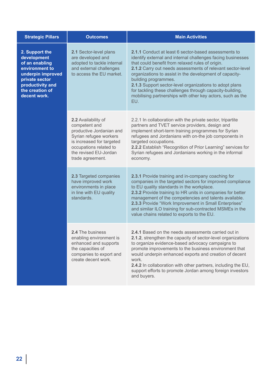| <b>Strategic Pillars</b>                                                                                                                                        | <b>Outcomes</b>                                                                                                                                                                                | <b>Main Activities</b>                                                                                                                                                                                                                                                                                                                                                                                                                                                                                               |
|-----------------------------------------------------------------------------------------------------------------------------------------------------------------|------------------------------------------------------------------------------------------------------------------------------------------------------------------------------------------------|----------------------------------------------------------------------------------------------------------------------------------------------------------------------------------------------------------------------------------------------------------------------------------------------------------------------------------------------------------------------------------------------------------------------------------------------------------------------------------------------------------------------|
| 2. Support the<br>development<br>of an enabling<br>environment to<br>underpin improved<br>private sector<br>productivity and<br>the creation of<br>decent work. | 2.1 Sector-level plans<br>are developed and<br>adopted to tackle internal<br>and external challenges<br>to access the EU market.                                                               | 2.1.1 Conduct at least 6 sector-based assessments to<br>identify external and internal challenges facing businesses<br>that could benefit from relaxed rules of origin.<br>2.1.2 Carry out needs assessments of relevant sector-level<br>organizations to assist in the development of capacity-<br>building programmes.<br>2.1.3 Support sector-level organizations to adopt plans<br>for tackling these challenges through capacity-building,<br>mobilising partnerships with other key actors, such as the<br>EU. |
|                                                                                                                                                                 | 2.2 Availability of<br>competent and<br>productive Jordanian and<br>Syrian refugee workers<br>is increased for targeted<br>occupations related to<br>the revised EU-Jordan<br>trade agreement. | 2.2.1 In collaboration with the private sector, tripartite<br>partners and TVET service providers, design and<br>implement short-term training programmes for Syrian<br>refugees and Jordanians with on-the job components in<br>targeted occupations.<br>2.2.2 Establish "Recognition of Prior Learning" services for<br>Syrian refugees and Jordanians working in the informal<br>economy.                                                                                                                         |
|                                                                                                                                                                 | 2.3 Targeted companies<br>have improved work<br>environments in place<br>in line with EU quality<br>standards.                                                                                 | 2.3.1 Provide training and in-company coaching for<br>companies in the targeted sectors for improved compliance<br>to EU quality standards in the workplace.<br>2.3.2 Provide training to HR units in companies for better<br>management of the competencies and talents available.<br>2.3.3 Provide "Work Improvement in Small Enterprises"<br>and similar ILO training for sub-contracted MSMEs in the<br>value chains related to exports to the EU.                                                               |
|                                                                                                                                                                 | <b>2.4 The business</b><br>enabling environment is<br>enhanced and supports<br>the capacities of<br>companies to export and<br>create decent work.                                             | <b>2.4.1</b> Based on the needs assessments carried out in<br>2.1.2, strengthen the capacity of sector-level organizations<br>to organize evidence-based advocacy campaigns to<br>promote improvements to the business environment that<br>would underpin enhanced exports and creation of decent<br>work.<br>2.4.2 In collaboration with other partners, including the EU,<br>support efforts to promote Jordan among foreign investors<br>and buyers.                                                              |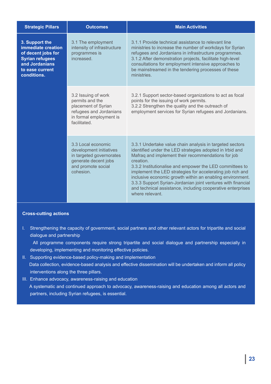| <b>Strategic Pillars</b>                                                                                                                 | <b>Outcomes</b>                                                                                                                      | <b>Main Activities</b>                                                                                                                                                                                                                                                                                                                                                                                                                                                                                                           |
|------------------------------------------------------------------------------------------------------------------------------------------|--------------------------------------------------------------------------------------------------------------------------------------|----------------------------------------------------------------------------------------------------------------------------------------------------------------------------------------------------------------------------------------------------------------------------------------------------------------------------------------------------------------------------------------------------------------------------------------------------------------------------------------------------------------------------------|
| 3. Support the<br>immediate creation<br>of decent jobs for<br><b>Syrian refugees</b><br>and Jordanians<br>to ease current<br>conditions. | 3.1 The employment<br>intensity of infrastructure<br>programmes is<br>increased.                                                     | 3.1.1 Provide technical assistance to relevant line<br>ministries to increase the number of workdays for Syrian<br>refugees and Jordanians in infrastructure programmes.<br>3.1.2 After demonstration projects, facilitate high-level<br>consultations for employment intensive approaches to<br>be mainstreamed in the tendering processes of these<br>ministries.                                                                                                                                                              |
|                                                                                                                                          | 3.2 Issuing of work<br>permits and the<br>placement of Syrian<br>refugees and Jordanians<br>in formal employment is<br>facilitated.  | 3.2.1 Support sector-based organizations to act as focal<br>points for the issuing of work permits.<br>3.2.2 Strengthen the quality and the outreach of<br>employment services for Syrian refugees and Jordanians.                                                                                                                                                                                                                                                                                                               |
|                                                                                                                                          | 3.3 Local economic<br>development initiatives<br>in targeted governorates<br>generate decent jobs<br>and promote social<br>cohesion. | 3.3.1 Undertake value chain analysis in targeted sectors<br>identified under the LED strategies adopted in Irbid and<br>Mafraq and implement their recommendations for job<br>creation.<br>3.3.2 Institutionalise and empower the LED committees to<br>implement the LED strategies for accelerating job rich and<br>inclusive economic growth within an enabling environment.<br>3.3.3 Support Syrian-Jordanian joint ventures with financial<br>and technical assistance, including cooperative enterprises<br>where relevant. |

#### **Cross-cutting actions**

I. Strengthening the capacity of government, social partners and other relevant actors for tripartite and social dialogue and partnership

 All programme components require strong tripartite and social dialogue and partnership especially in developing, implementing and monitoring effective policies.

- II. Supporting evidence-based policy-making and implementation Data collection, evidence-based analysis and effective dissemination will be undertaken and inform all policy interventions along the three pillars.
- III. Enhance advocacy, awareness-raising and education A systematic and continued approach to advocacy, awareness-raising and education among all actors and partners, including Syrian refugees, is essential.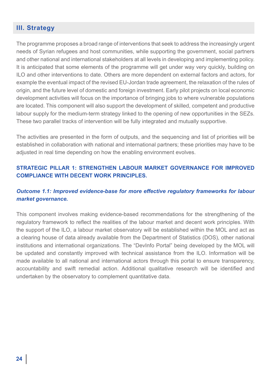### **III. Strategy**

The programme proposes a broad range of interventions that seek to address the increasingly urgent needs of Syrian refugees and host communities, while supporting the government, social partners and other national and international stakeholders at all levels in developing and implementing policy. It is anticipated that some elements of the programme will get under way very quickly, building on ILO and other interventions to date. Others are more dependent on external factors and actors, for example the eventual impact of the revised EU-Jordan trade agreement, the relaxation of the rules of origin, and the future level of domestic and foreign investment. Early pilot projects on local economic development activities will focus on the importance of bringing jobs to where vulnerable populations are located. This component will also support the development of skilled, competent and productive labour supply for the medium-term strategy linked to the opening of new opportunities in the SEZs. These two parallel tracks of intervention will be fully integrated and mutually supportive.

The activities are presented in the form of outputs, and the sequencing and list of priorities will be established in collaboration with national and international partners; these priorities may have to be adjusted in real time depending on how the enabling environment evolves.

#### **STRATEGIC PILLAR 1: STRENGTHEN LABOUR MARKET GOVERNANCE FOR IMPROVED COMPLIANCE WITH DECENT WORK PRINCIPLES.**

#### *Outcome 1.1: Improved evidence-base for more effective regulatory frameworks for labour market governance.*

This component involves making evidence-based recommendations for the strengthening of the regulatory framework to reflect the realities of the labour market and decent work principles. With the support of the ILO, a labour market observatory will be established within the MOL and act as a clearing house of data already available from the Department of Statistics (DOS), other national institutions and international organizations. The "DevInfo Portal" being developed by the MOL will be updated and constantly improved with technical assistance from the ILO. Information will be made available to all national and international actors through this portal to ensure transparency, accountability and swift remedial action. Additional qualitative research will be identified and undertaken by the observatory to complement quantitative data.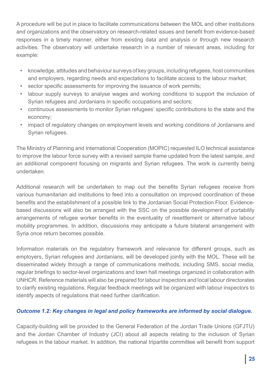A procedure will be put in place to facilitate communications between the MOL and other institutions and organizations and the observatory on research-related issues and benefit from evidence-based responses in a timely manner, either from existing data and analysis or through new research activities. The observatory will undertake research in a number of relevant areas, including for example:

- knowledge, attitudes and behaviour surveys of key groups, including refugees, host communities and employers, regarding needs and expectations to facilitate access to the labour market;
- sector specific assessments for improving the issuance of work permits;
- labour supply surveys to analyse wages and working conditions to support the inclusion of Syrian refugees and Jordanians in specific occupations and sectors;
- continuous assessments to monitor Syrian refugees' specific contributions to the state and the economy;
- impact of regulatory changes on employment levels and working conditions of Jordanians and Syrian refugees.

The Ministry of Planning and International Cooperation (MOPIC) requested ILO technical assistance to improve the labour force survey with a revised sample frame updated from the latest sample, and an additional component focusing on migrants and Syrian refugees. The work is currently being undertaken.

Additional research will be undertaken to map out the benefits Syrian refugees receive from various humanitarian aid institutions to feed into a consultation on improved coordination of these benefits and the establishment of a possible link to the Jordanian Social Protection Floor. Evidencebased discussions will also be arranged with the SSC on the possible development of portability arrangements of refugee worker benefits in the eventuality of resettlement or alternative labour mobility programmes. In addition, discussions may anticipate a future bilateral arrangement with Syria once return becomes possible.

Information materials on the regulatory framework and relevance for different groups, such as employers, Syrian refugees and Jordanians, will be developed jointly with the MOL. These will be disseminated widely through a range of communications methods, including SMS, social media, regular briefings to sector-level organizations and town hall meetings organized in collaboration with UNHCR. Reference materials will also be prepared for labour inspectors and local labour directorates to clarify existing regulations. Regular feedback meetings will be organized with labour inspectors to identify aspects of regulations that need further clarification.

### *Outcome 1.2: Key changes in legal and policy frameworks are informed by social dialogue.*

Capacity-building will be provided to the General Federation of the Jordan Trade Unions (GFJTU) and the Jordan Chamber of Industry (JCI) about all aspects relating to the inclusion of Syrian refugees in the labour market. In addition, the national tripartite committee will benefit from support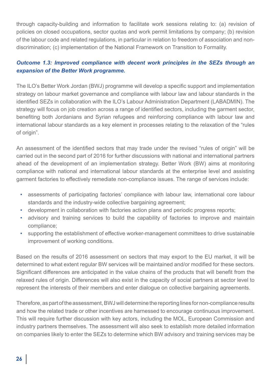through capacity-building and information to facilitate work sessions relating to: (a) revision of policies on closed occupations, sector quotas and work permit limitations by company; (b) revision of the labour code and related regulations, in particular in relation to freedom of association and nondiscrimination; (c) implementation of the National Framework on Transition to Formality.

### *Outcome 1.3: Improved compliance with decent work principles in the SEZs through an expansion of the Better Work programme.*

The ILO's Better Work Jordan (BWJ) programme will develop a specific support and implementation strategy on labour market governance and compliance with labour law and labour standards in the identified SEZs in collaboration with the ILO's Labour Administration Department (LABADMIN). The strategy will focus on job creation across a range of identified sectors, including the garment sector, benefiting both Jordanians and Syrian refugees and reinforcing compliance with labour law and international labour standards as a key element in processes relating to the relaxation of the "rules of origin".

An assessment of the identified sectors that may trade under the revised "rules of origin" will be carried out in the second part of 2016 for further discussions with national and international partners ahead of the development of an implementation strategy. Better Work (BW) aims at monitoring compliance with national and international labour standards at the enterprise level and assisting garment factories to effectively remediate non-compliance issues. The range of services include:

- assessments of participating factories' compliance with labour law, international core labour standards and the industry-wide collective bargaining agreement;
- development in collaboration with factories action plans and periodic progress reports;
- advisory and training services to build the capability of factories to improve and maintain compliance;
- supporting the establishment of effective worker-management committees to drive sustainable improvement of working conditions.

Based on the results of 2016 assessment on sectors that may export to the EU market, it will be determined to what extent regular BW services will be maintained and/or modified for these sectors. Significant differences are anticipated in the value chains of the products that will benefit from the relaxed rules of origin. Differences will also exist in the capacity of social partners at sector level to represent the interests of their members and enter dialogue on collective bargaining agreements.

Therefore, as part of the assessment, BWJ will determine the reporting lines for non-compliance results and how the related trade or other incentives are harnessed to encourage continuous improvement. This will require further discussion with key actors, including the MOL, European Commission and industry partners themselves. The assessment will also seek to establish more detailed information on companies likely to enter the SEZs to determine which BW advisory and training services may be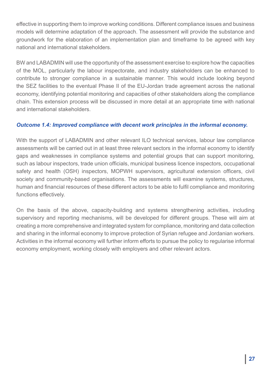effective in supporting them to improve working conditions. Different compliance issues and business models will determine adaptation of the approach. The assessment will provide the substance and groundwork for the elaboration of an implementation plan and timeframe to be agreed with key national and international stakeholders.

BW and LABADMIN will use the opportunity of the assessment exercise to explore how the capacities of the MOL, particularly the labour inspectorate, and industry stakeholders can be enhanced to contribute to stronger compliance in a sustainable manner. This would include looking beyond the SEZ facilities to the eventual Phase II of the EU-Jordan trade agreement across the national economy, identifying potential monitoring and capacities of other stakeholders along the compliance chain. This extension process will be discussed in more detail at an appropriate time with national and international stakeholders.

#### *Outcome 1.4: Improved compliance with decent work principles in the informal economy.*

With the support of LABADMIN and other relevant ILO technical services, labour law compliance assessments will be carried out in at least three relevant sectors in the informal economy to identify gaps and weaknesses in compliance systems and potential groups that can support monitoring, such as labour inspectors, trade union officials, municipal business licence inspectors, occupational safety and health (OSH) inspectors, MOPWH supervisors, agricultural extension officers, civil society and community-based organisations. The assessments will examine systems, structures, human and financial resources of these different actors to be able to fulfil compliance and monitoring functions effectively.

On the basis of the above, capacity-building and systems strengthening activities, including supervisory and reporting mechanisms, will be developed for different groups. These will aim at creating a more comprehensive and integrated system for compliance, monitoring and data collection and sharing in the informal economy to improve protection of Syrian refugee and Jordanian workers. Activities in the informal economy will further inform efforts to pursue the policy to regularise informal economy employment, working closely with employers and other relevant actors.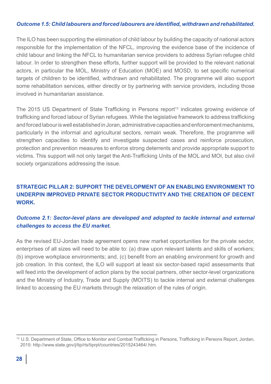#### *Outcome 1.5: Child labourers and forced labourers are identified, withdrawn and rehabilitated.*

The ILO has been supporting the elimination of child labour by building the capacity of national actors responsible for the implementation of the NFCL, improving the evidence base of the incidence of child labour and linking the NFCL to humanitarian service providers to address Syrian refugee child labour. In order to strengthen these efforts, further support will be provided to the relevant national actors, in particular the MOL, Ministry of Education (MOE) and MOSD, to set specific numerical targets of children to be identified, withdrawn and rehabilitated. The programme will also support some rehabilitation services, either directly or by partnering with service providers, including those involved in humanitarian assistance.

The 2015 US Department of State Trafficking in Persons report<sup>13</sup> indicates growing evidence of trafficking and forced labour of Syrian refugees. While the legislative framework to address trafficking and forced labour is well established in Joran, administrative capacities and enforcement mechanisms, particularly in the informal and agricultural sectors, remain weak. Therefore, the programme will strengthen capacities to identify and investigate suspected cases and reinforce prosecution, protection and prevention measures to enforce strong deterrents and provide appropriate support to victims. This support will not only target the Anti-Trafficking Units of the MOL and MOI, but also civil society organizations addressing the issue.

# **STRATEGIC PILLAR 2: SUPPORT THE DEVELOPMENT OF AN ENABLING ENVIRONMENT TO UNDERPIN IMPROVED PRIVATE SECTOR PRODUCTIVITY AND THE CREATION OF DECENT WORK.**

#### *Outcome 2.1: Sector-level plans are developed and adopted to tackle internal and external challenges to access the EU market.*

As the revised EU-Jordan trade agreement opens new market opportunities for the private sector, enterprises of all sizes will need to be able to: (a) draw upon relevant talents and skills of workers; (b) improve workplace environments; and, (c) benefit from an enabling environment for growth and job creation. In this context, the ILO will support at least six sector-based rapid assessments that will feed into the development of action plans by the social partners, other sector-level organizations and the Ministry of Industry, Trade and Supply (MOITS) to tackle internal and external challenges linked to accessing the EU markets through the relaxation of the rules of origin.

<sup>13</sup> U.S. Department of State, Office to Monitor and Combat Trafficking in Persons, Trafficking in Persons Report, Jordan, 2015: http://www.state.gov/j/tip/rls/tiprpt/countries/2015243464/.htm.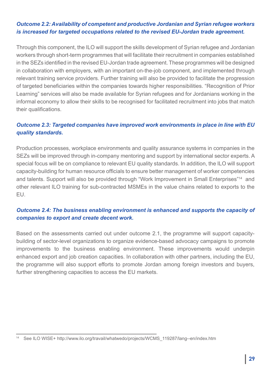#### *Outcome 2.2: Availability of competent and productive Jordanian and Syrian refugee workers is increased for targeted occupations related to the revised EU-Jordan trade agreement.*

Through this component, the ILO will support the skills development of Syrian refugee and Jordanian workers through short-term programmes that will facilitate their recruitment in companies established in the SEZs identified in the revised EU-Jordan trade agreement. These programmes will be designed in collaboration with employers, with an important on-the-job component, and implemented through relevant training service providers. Further training will also be provided to facilitate the progression of targeted beneficiaries within the companies towards higher responsibilities. "Recognition of Prior Learning" services will also be made available for Syrian refugees and for Jordanians working in the informal economy to allow their skills to be recognised for facilitated recruitment into jobs that match their qualifications.

#### *Outcome 2.3: Targeted companies have improved work environments in place in line with EU quality standards.*

Production processes, workplace environments and quality assurance systems in companies in the SEZs will be improved through in-company mentoring and support by international sector experts. A special focus will be on compliance to relevant EU quality standards. In addition, the ILO will support capacity-building for human resource officials to ensure better management of worker competencies and talents. Support will also be provided through "Work Improvement in Small Enterprises"14 and other relevant ILO training for sub-contracted MSMEs in the value chains related to exports to the EU.

#### *Outcome 2.4: The business enabling environment is enhanced and supports the capacity of companies to export and create decent work.*

Based on the assessments carried out under outcome 2.1, the programme will support capacitybuilding of sector-level organizations to organize evidence-based advocacy campaigns to promote improvements to the business enabling environment. These improvements would underpin enhanced export and job creation capacities. In collaboration with other partners, including the EU, the programme will also support efforts to promote Jordan among foreign investors and buyers, further strengthening capacities to access the EU markets.

See ILO WISE+ http://www.ilo.org/travail/whatwedo/projects/WCMS\_119287/lang--en/index.htm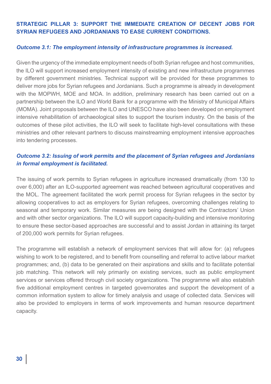#### **STRATEGIC PILLAR 3: SUPPORT THE IMMEDIATE CREATION OF DECENT JOBS FOR SYRIAN REFUGEES AND JORDANIANS TO EASE CURRENT CONDITIONS.**

#### *Outcome 3.1: The employment intensity of infrastructure programmes is increased.*

Given the urgency of the immediate employment needs of both Syrian refugee and host communities, the ILO will support increased employment intensity of existing and new infrastructure programmes by different government ministries. Technical support will be provided for these programmes to deliver more jobs for Syrian refugees and Jordanians. Such a programme is already in development with the MOPWH, MOE and MOA. In addition, preliminary research has been carried out on a partnership between the ILO and World Bank for a programme with the Ministry of Municipal Affairs (MOMA). Joint proposals between the ILO and UNESCO have also been developed on employment intensive rehabilitation of archaeological sites to support the tourism industry. On the basis of the outcomes of these pilot activities, the ILO will seek to facilitate high-level consultations with these ministries and other relevant partners to discuss mainstreaming employment intensive approaches into tendering processes.

#### *Outcome 3.2: Issuing of work permits and the placement of Syrian refugees and Jordanians in formal employment is facilitated.*

The issuing of work permits to Syrian refugees in agriculture increased dramatically (from 130 to over 6,000) after an ILO-supported agreement was reached between agricultural cooperatives and the MOL. The agreement facilitated the work permit process for Syrian refugees in the sector by allowing cooperatives to act as employers for Syrian refugees, overcoming challenges relating to seasonal and temporary work. Similar measures are being designed with the Contractors' Union and with other sector organizations. The ILO will support capacity-building and intensive monitoring to ensure these sector-based approaches are successful and to assist Jordan in attaining its target of 200,000 work permits for Syrian refugees.

The programme will establish a network of employment services that will allow for: (a) refugees wishing to work to be registered, and to benefit from counselling and referral to active labour market programmes; and, (b) data to be generated on their aspirations and skills and to facilitate potential job matching. This network will rely primarily on existing services, such as public employment services or services offered through civil society organizations. The programme will also establish five additional employment centres in targeted governorates and support the development of a common information system to allow for timely analysis and usage of collected data. Services will also be provided to employers in terms of work improvements and human resource department capacity.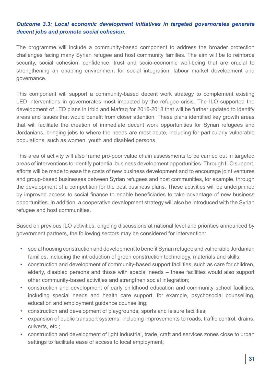#### *Outcome 3.3: Local economic development initiatives in targeted governorates generate decent jobs and promote social cohesion.*

The programme will include a community-based component to address the broader protection challenges facing many Syrian refugee and host community families. The aim will be to reinforce security, social cohesion, confidence, trust and socio-economic well-being that are crucial to strengthening an enabling environment for social integration, labour market development and governance.

This component will support a community-based decent work strategy to complement existing LED interventions in governorates most impacted by the refugee crisis. The ILO supported the development of LED plans in Irbid and Mafraq for 2016-2018 that will be further updated to identify areas and issues that would benefit from closer attention. These plans identified key growth areas that will facilitate the creation of immediate decent work opportunities for Syrian refugees and Jordanians, bringing jobs to where the needs are most acute, including for particularly vulnerable populations, such as women, youth and disabled persons.

This area of activity will also frame pro-poor value chain assessments to be carried out in targeted areas of interventions to identify potential business development opportunities. Through ILO support, efforts will be made to ease the costs of new business development and to encourage joint ventures and group-based businesses between Syrian refugees and host communities, for example, through the development of a competition for the best business plans. These activities will be underpinned by improved access to social finance to enable beneficiaries to take advantage of new business opportunities. In addition, a cooperative development strategy will also be introduced with the Syrian refugee and host communities.

Based on previous ILO activities, ongoing discussions at national level and priorities announced by government partners, the following sectors may be considered for intervention:

- social housing construction and development to benefit Syrian refugee and vulnerable Jordanian families, including the introduction of green construction technology, materials and skills;
- construction and development of community-based support facilities, such as care for children, elderly, disabled persons and those with special needs – these facilities would also support other community-based activities and strengthen social integration;
- construction and development of early childhood education and community school facilities, including special needs and health care support, for example, psychosocial counselling, education and employment guidance counselling;
- construction and development of playgrounds, sports and leisure facilities;
- expansion of public transport systems, including improvements to roads, traffic control, drains, culverts, etc.;
- construction and development of light industrial, trade, craft and services zones close to urban settings to facilitate ease of access to local employment;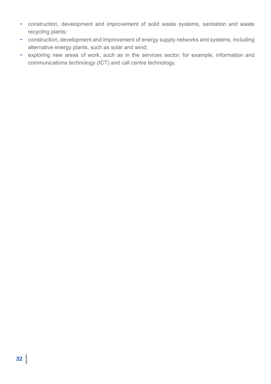- construction, development and improvement of solid waste systems, sanitation and waste recycling plants;
- construction, development and improvement of energy supply networks and systems, including alternative energy plants, such as solar and wind;
- exploring new areas of work, such as in the services sector, for example, information and communications technology (ICT) and call centre technology.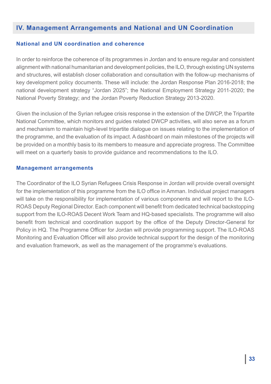# **IV. Management Arrangements and National and UN Coordination**

#### **National and UN coordination and coherence**

In order to reinforce the coherence of its programmes in Jordan and to ensure regular and consistent alignment with national humanitarian and development policies, the ILO, through existing UN systems and structures, will establish closer collaboration and consultation with the follow-up mechanisms of key development policy documents. These will include: the Jordan Response Plan 2016-2018; the national development strategy "Jordan 2025"; the National Employment Strategy 2011-2020; the National Poverty Strategy; and the Jordan Poverty Reduction Strategy 2013-2020.

Given the inclusion of the Syrian refugee crisis response in the extension of the DWCP, the Tripartite National Committee, which monitors and guides related DWCP activities, will also serve as a forum and mechanism to maintain high-level tripartite dialogue on issues relating to the implementation of the programme, and the evaluation of its impact. A dashboard on main milestones of the projects will be provided on a monthly basis to its members to measure and appreciate progress. The Committee will meet on a quarterly basis to provide guidance and recommendations to the ILO.

#### **Management arrangements**

The Coordinator of the ILO Syrian Refugees Crisis Response in Jordan will provide overall oversight for the implementation of this programme from the ILO office in Amman. Individual project managers will take on the responsibility for implementation of various components and will report to the ILO-ROAS Deputy Regional Director. Each component will benefit from dedicated technical backstopping support from the ILO-ROAS Decent Work Team and HQ-based specialists. The programme will also benefit from technical and coordination support by the office of the Deputy Director-General for Policy in HQ. The Programme Officer for Jordan will provide programming support. The ILO-ROAS Monitoring and Evaluation Officer will also provide technical support for the design of the monitoring and evaluation framework, as well as the management of the programme's evaluations.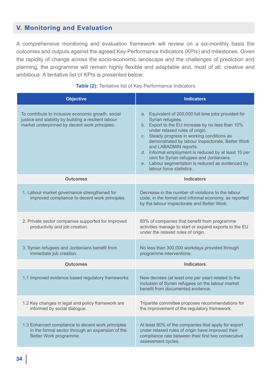# **V. Monitoring and Evaluation**

A comprehensive monitoring and evaluation framework will review on a six-monthly basis the outcomes and outputs against the agreed Key Performance Indicators (KPIs) and milestones. Given the rapidity of change across the socio-economic landscape and the challenges of prediction and planning, the programme will remain highly flexible and adaptable and, most of all, creative and ambitious. A tentative list of KPIs is presented below:

| <b>Objective</b>                                                                                                                                            | <b>Indicators</b>                                                                                                                                                                                                                                                                                                                                                                                                                                                               |
|-------------------------------------------------------------------------------------------------------------------------------------------------------------|---------------------------------------------------------------------------------------------------------------------------------------------------------------------------------------------------------------------------------------------------------------------------------------------------------------------------------------------------------------------------------------------------------------------------------------------------------------------------------|
| To contribute to inclusive economic growth, social<br>justice and stability by building a resilient labour<br>market underpinned by decent work principles. | a. Equivalent of 200,000 full time jobs provided for<br>Syrian refugees.<br>b. Export to the EU increase by no less than 10%<br>under relaxed rules of origin.<br>c. Steady progress in working conditions as<br>demonstrated by labour inspectorate, Better Work<br>and LABADMIN reports.<br>d. Informal employment is reduced by at least 10 per<br>cent for Syrian refugees and Jordanians.<br>e. Labour segmentation is reduced as evidenced by<br>labour force statistics. |
| <b>Outcomes</b>                                                                                                                                             | <b>Indicators</b>                                                                                                                                                                                                                                                                                                                                                                                                                                                               |
| 1. Labour market governance strengthened for<br>improved compliance to decent work principles.                                                              | Decrease in the number of violations to the labour<br>code, in the formal and informal economy, as reported<br>by the labour inspectorate and Better Work.                                                                                                                                                                                                                                                                                                                      |
| 2. Private sector companies supported for improved<br>productivity and job creation.                                                                        | 80% of companies that benefit from programme<br>activities manage to start or expand exports to the EU<br>under the relaxed rules of origin.                                                                                                                                                                                                                                                                                                                                    |
| 3. Syrian refugees and Jordanians benefit from<br>immediate job creation.                                                                                   | No less than 300,000 workdays provided through<br>programme interventions.                                                                                                                                                                                                                                                                                                                                                                                                      |
| <b>Outcomes</b>                                                                                                                                             | <b>Indicators</b>                                                                                                                                                                                                                                                                                                                                                                                                                                                               |
| 1.1 Improved evidence based regulatory frameworks                                                                                                           | New decrees (at least one per year) related to the<br>inclusion of Syrian refugees on the labour market<br>benefit from documented evidence.                                                                                                                                                                                                                                                                                                                                    |
| 1.2 Key changes in legal and policy framework are<br>informed by social dialogue.                                                                           | Tripartite committee proposes recommendations for<br>the improvement of the regulatory framework.                                                                                                                                                                                                                                                                                                                                                                               |
| 1.3 Enhanced compliance to decent work principles<br>in the formal sector through an expansion of the<br>Better Work programme.                             | At least 80% of the companies that apply for export<br>under relaxed rules of origin have improved their<br>compliance rate between their first two consecutive<br>assessment cycles.                                                                                                                                                                                                                                                                                           |

#### **Table (2):** Tentative list of Key Performance Indicators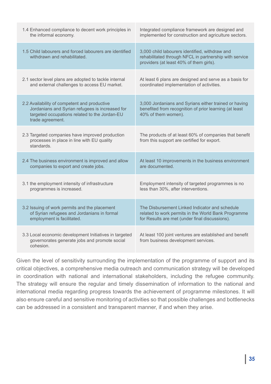| 1.4 Enhanced compliance to decent work principles in                                                                                                                 | Integrated compliance framework are designed and                                                                                                    |
|----------------------------------------------------------------------------------------------------------------------------------------------------------------------|-----------------------------------------------------------------------------------------------------------------------------------------------------|
| the informal economy.                                                                                                                                                | implemented for construction and agriculture sectors.                                                                                               |
| 1.5 Child labourers and forced labourers are identified<br>withdrawn and rehabilitated.                                                                              | 3,000 child labourers identified, withdraw and<br>rehabilitated through NFCL in partnership with service<br>providers (at least 40% of them girls). |
| 2.1 sector level plans are adopted to tackle internal                                                                                                                | At least 6 plans are designed and serve as a basis for                                                                                              |
| and external challenges to access EU market.                                                                                                                         | coordinated implementation of activities.                                                                                                           |
| 2.2 Availability of competent and productive<br>Jordanians and Syrian refugees is increased for<br>targeted occupations related to the Jordan-EU<br>trade agreement. | 3,000 Jordanians and Syrians either trained or having<br>benefited from recognition of prior learning (at least<br>40% of them women).              |
| 2.3 Targeted companies have improved production<br>processes in place in line with EU quality<br>standards.                                                          | The products of at least 60% of companies that benefit<br>from this support are certified for export.                                               |
| 2.4 The business environment is improved and allow                                                                                                                   | At least 10 improvements in the business environment                                                                                                |
| companies to export and create jobs.                                                                                                                                 | are documented.                                                                                                                                     |
| 3.1 the employment intensity of infrastructure                                                                                                                       | Employment intensity of targeted programmes is no                                                                                                   |
| programmes is increased.                                                                                                                                             | less than 30%, after interventions.                                                                                                                 |
| 3.2 Issuing of work permits and the placement                                                                                                                        | The Disbursement Linked Indicator and schedule                                                                                                      |
| of Syrian refugees and Jordanians in formal                                                                                                                          | related to work permits in the World Bank Programme                                                                                                 |
| employment is facilitated.                                                                                                                                           | for Results are met (under final discussions).                                                                                                      |
| 3.3 Local economic development Initiatives in targeted<br>governorates generate jobs and promote social<br>cohesion.                                                 | At least 100 joint ventures are established and benefit<br>from business development services.                                                      |

Given the level of sensitivity surrounding the implementation of the programme of support and its critical objectives, a comprehensive media outreach and communication strategy will be developed in coordination with national and international stakeholders, including the refugee community. The strategy will ensure the regular and timely dissemination of information to the national and international media regarding progress towards the achievement of programme milestones. It will also ensure careful and sensitive monitoring of activities so that possible challenges and bottlenecks can be addressed in a consistent and transparent manner, if and when they arise.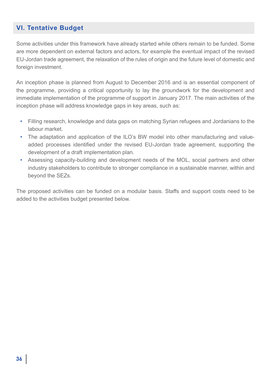# **VI. Tentative Budget**

Some activities under this framework have already started while others remain to be funded. Some are more dependent on external factors and actors, for example the eventual impact of the revised EU-Jordan trade agreement, the relaxation of the rules of origin and the future level of domestic and foreign investment.

An inception phase is planned from August to December 2016 and is an essential component of the programme, providing a critical opportunity to lay the groundwork for the development and immediate implementation of the programme of support in January 2017. The main activities of the inception phase will address knowledge gaps in key areas, such as:

- Filling research, knowledge and data gaps on matching Syrian refugees and Jordanians to the labour market.
- The adaptation and application of the ILO's BW model into other manufacturing and valueadded processes identified under the revised EU-Jordan trade agreement, supporting the development of a draft implementation plan.
- Assessing capacity-building and development needs of the MOL, social partners and other industry stakeholders to contribute to stronger compliance in a sustainable manner, within and beyond the SEZs.

The proposed activities can be funded on a modular basis. Staffs and support costs need to be added to the activities budget presented below.